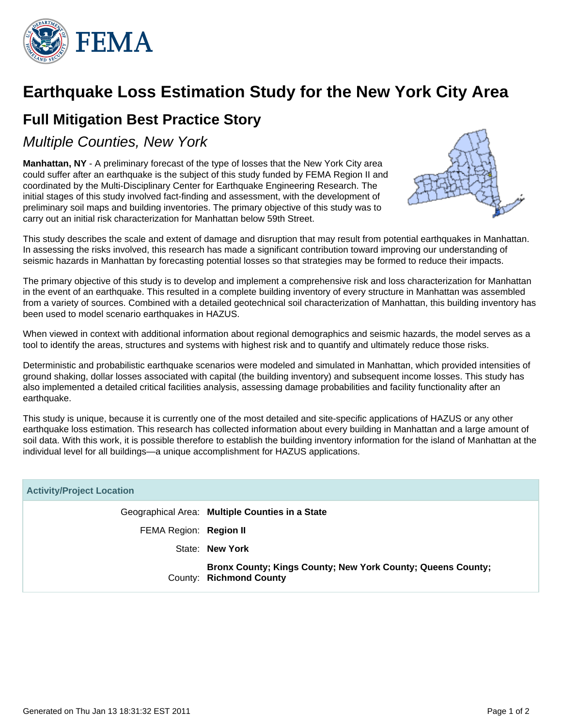

## **Earthquake Loss Estimation Study for the New York City Area**

## **Full Mitigation Best Practice Story**

Multiple Counties, New York

**Manhattan, NY** - A preliminary forecast of the type of losses that the New York City area could suffer after an earthquake is the subject of this study funded by FEMA Region II and coordinated by the Multi-Disciplinary Center for Earthquake Engineering Research. The initial stages of this study involved fact-finding and assessment, with the development of preliminary soil maps and building inventories. The primary objective of this study was to carry out an initial risk characterization for Manhattan below 59th Street.



This study describes the scale and extent of damage and disruption that may result from potential earthquakes in Manhattan. In assessing the risks involved, this research has made a significant contribution toward improving our understanding of seismic hazards in Manhattan by forecasting potential losses so that strategies may be formed to reduce their impacts.

The primary objective of this study is to develop and implement a comprehensive risk and loss characterization for Manhattan in the event of an earthquake. This resulted in a complete building inventory of every structure in Manhattan was assembled from a variety of sources. Combined with a detailed geotechnical soil characterization of Manhattan, this building inventory has been used to model scenario earthquakes in HAZUS.

When viewed in context with additional information about regional demographics and seismic hazards, the model serves as a tool to identify the areas, structures and systems with highest risk and to quantify and ultimately reduce those risks.

Deterministic and probabilistic earthquake scenarios were modeled and simulated in Manhattan, which provided intensities of ground shaking, dollar losses associated with capital (the building inventory) and subsequent income losses. This study has also implemented a detailed critical facilities analysis, assessing damage probabilities and facility functionality after an earthquake.

This study is unique, because it is currently one of the most detailed and site-specific applications of HAZUS or any other earthquake loss estimation. This research has collected information about every building in Manhattan and a large amount of soil data. With this work, it is possible therefore to establish the building inventory information for the island of Manhattan at the individual level for all buildings—a unique accomplishment for HAZUS applications.

| <b>Activity/Project Location</b> |                                                                                        |  |  |
|----------------------------------|----------------------------------------------------------------------------------------|--|--|
|                                  | Geographical Area: Multiple Counties in a State                                        |  |  |
| FEMA Region: Region II           |                                                                                        |  |  |
|                                  | State: New York                                                                        |  |  |
|                                  | Bronx County; Kings County; New York County; Queens County;<br>County: Richmond County |  |  |